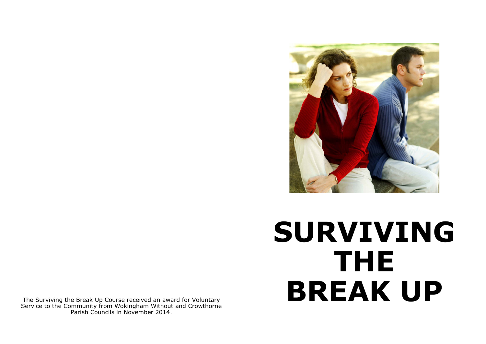

# **SURVIVING THE BREAK UP**

The Surviving the Break Up Course received an award for Voluntary Service to the Community from Wokingham Without and Crowthorne Parish Councils in November 2014.